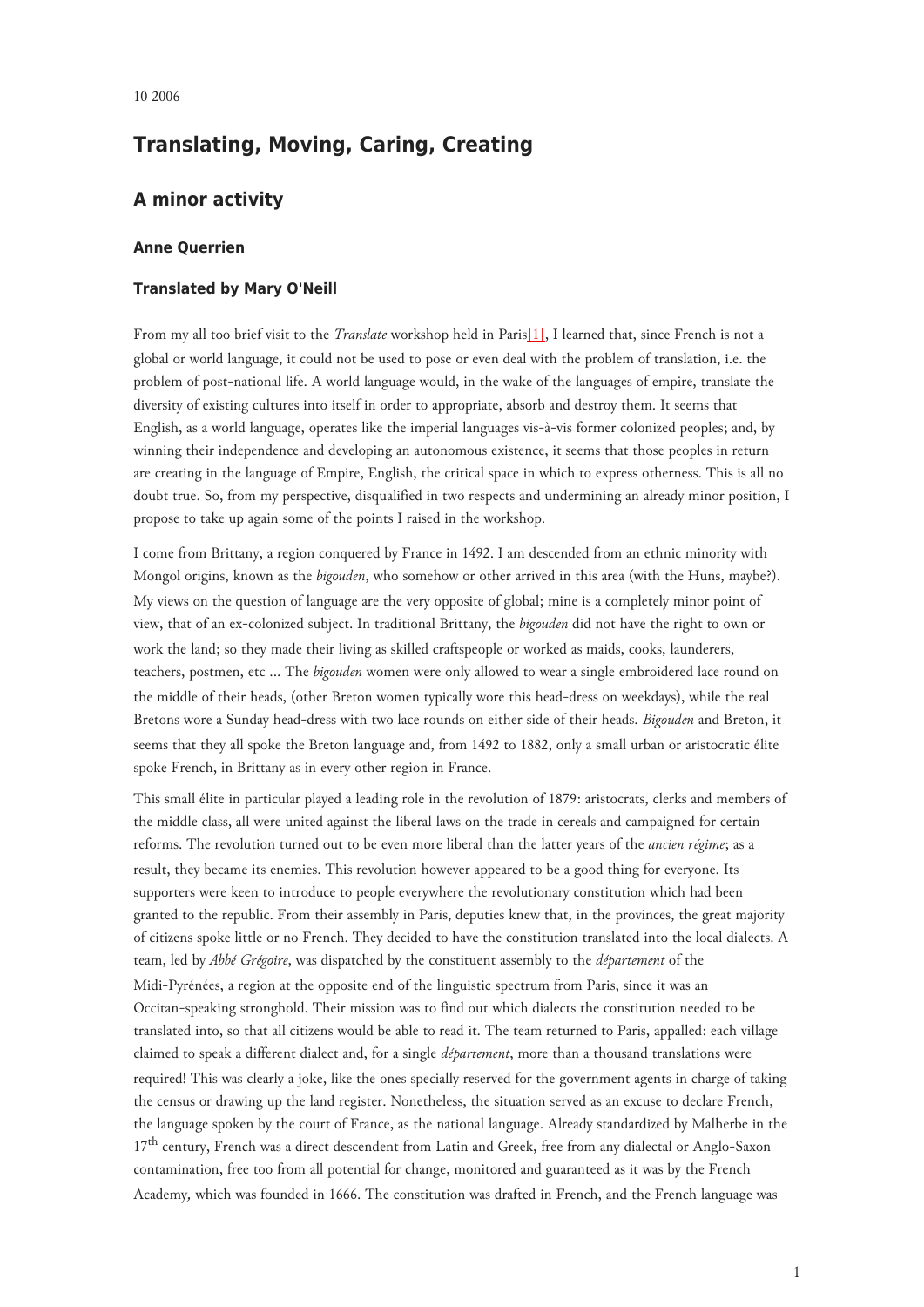# **Translating, Moving, Caring, Creating**

## **A minor activity**

### **Anne Querrien**

#### **Translated by Mary O'Neill**

<span id="page-0-0"></span>From my all too brief visit to the *Translate* workshop held in Paris[\[1\],](#page-5-0) I learned that, since French is not a global or world language, it could not be used to pose or even deal with the problem of translation, i.e. the problem of post-national life. A world language would, in the wake of the languages of empire, translate the diversity of existing cultures into itself in order to appropriate, absorb and destroy them. It seems that English, as a world language, operates like the imperial languages vis-à-vis former colonized peoples; and, by winning their independence and developing an autonomous existence, it seems that those peoples in return are creating in the language of Empire, English, the critical space in which to express otherness. This is all no doubt true. So, from my perspective, disqualified in two respects and undermining an already minor position, I propose to take up again some of the points I raised in the workshop.

I come from Brittany, a region conquered by France in 1492. I am descended from an ethnic minority with Mongol origins, known as the *bigouden*, who somehow or other arrived in this area (with the Huns, maybe?). My views on the question of language are the very opposite of global; mine is a completely minor point of view, that of an ex-colonized subject. In traditional Brittany, the *bigouden* did not have the right to own or work the land; so they made their living as skilled craftspeople or worked as maids, cooks, launderers, teachers, postmen, etc ... The *bigouden* women were only allowed to wear a single embroidered lace round on the middle of their heads, (other Breton women typically wore this head-dress on weekdays), while the real Bretons wore a Sunday head-dress with two lace rounds on either side of their heads. *Bigouden* and Breton, it seems that they all spoke the Breton language and, from 1492 to 1882, only a small urban or aristocratic élite spoke French, in Brittany as in every other region in France.

This small élite in particular played a leading role in the revolution of 1879: aristocrats, clerks and members of the middle class, all were united against the liberal laws on the trade in cereals and campaigned for certain reforms. The revolution turned out to be even more liberal than the latter years of the *ancien régime*; as a result, they became its enemies. This revolution however appeared to be a good thing for everyone. Its supporters were keen to introduce to people everywhere the revolutionary constitution which had been granted to the republic. From their assembly in Paris, deputies knew that, in the provinces, the great majority of citizens spoke little or no French. They decided to have the constitution translated into the local dialects. A team, led by *Abbé Grégoire*, was dispatched by the constituent assembly to the *département* of the Midi-Pyrénées, a region at the opposite end of the linguistic spectrum from Paris, since it was an Occitan-speaking stronghold. Their mission was to find out which dialects the constitution needed to be translated into, so that all citizens would be able to read it. The team returned to Paris, appalled: each village claimed to speak a different dialect and, for a single *département*, more than a thousand translations were required! This was clearly a joke, like the ones specially reserved for the government agents in charge of taking the census or drawing up the land register. Nonetheless, the situation served as an excuse to declare French, the language spoken by the court of France, as the national language. Already standardized by Malherbe in the 17<sup>th</sup> century, French was a direct descendent from Latin and Greek, free from any dialectal or Anglo-Saxon contamination, free too from all potential for change, monitored and guaranteed as it was by the French Academy*,* which was founded in 1666. The constitution was drafted in French, and the French language was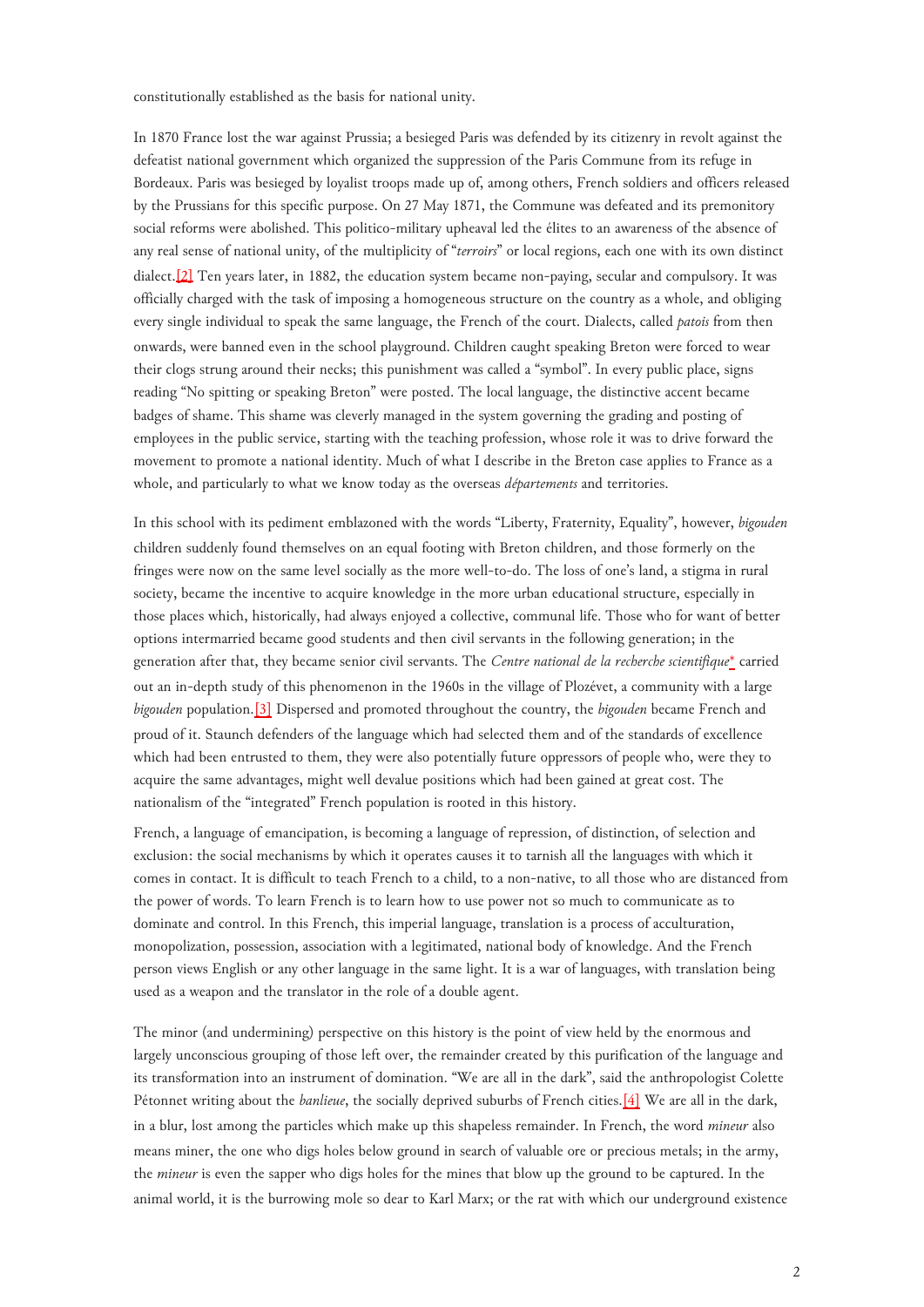constitutionally established as the basis for national unity.

<span id="page-1-0"></span>In 1870 France lost the war against Prussia; a besieged Paris was defended by its citizenry in revolt against the defeatist national government which organized the suppression of the Paris Commune from its refuge in Bordeaux. Paris was besieged by loyalist troops made up of, among others, French soldiers and officers released by the Prussians for this specific purpose. On 27 May 1871, the Commune was defeated and its premonitory social reforms were abolished. This politico-military upheaval led the élites to an awareness of the absence of any real sense of national unity, of the multiplicity of "*terroirs*" or local regions, each one with its own distinct dialect[.\[2\]](#page-5-1) Ten years later, in 1882, the education system became non-paying, secular and compulsory. It was officially charged with the task of imposing a homogeneous structure on the country as a whole, and obliging every single individual to speak the same language, the French of the court. Dialects, called *patois* from then onwards, were banned even in the school playground. Children caught speaking Breton were forced to wear their clogs strung around their necks; this punishment was called a "symbol". In every public place, signs reading "No spitting or speaking Breton" were posted. The local language, the distinctive accent became badges of shame. This shame was cleverly managed in the system governing the grading and posting of employees in the public service, starting with the teaching profession, whose role it was to drive forward the movement to promote a national identity. Much of what I describe in the Breton case applies to France as a whole, and particularly to what we know today as the overseas *départements* and territories.

<span id="page-1-1"></span>In this school with its pediment emblazoned with the words "Liberty, Fraternity, Equality", however, *bigouden* children suddenly found themselves on an equal footing with Breton children, and those formerly on the fringes were now on the same level socially as the more well-to-do. The loss of one's land, a stigma in rural society, became the incentive to acquire knowledge in the more urban educational structure, especially in those places which, historically, had always enjoyed a collective, communal life. Those who for want of better options intermarried became good students and then civil servants in the following generation; in the generation after that, they became senior civil servants. The *Centre national de la recherche scientifique*[\\*](#page-5-2) carried out an in-depth study of this phenomenon in the 1960s in the village of Plozévet, a community with a large *bigouden* population.[\[3\]](#page-5-3) Dispersed and promoted throughout the country, the *bigouden* became French and proud of it. Staunch defenders of the language which had selected them and of the standards of excellence which had been entrusted to them, they were also potentially future oppressors of people who, were they to acquire the same advantages, might well devalue positions which had been gained at great cost. The nationalism of the "integrated" French population is rooted in this history.

French, a language of emancipation, is becoming a language of repression, of distinction, of selection and exclusion: the social mechanisms by which it operates causes it to tarnish all the languages with which it comes in contact. It is difficult to teach French to a child, to a non-native, to all those who are distanced from the power of words. To learn French is to learn how to use power not so much to communicate as to dominate and control. In this French, this imperial language, translation is a process of acculturation, monopolization, possession, association with a legitimated, national body of knowledge. And the French person views English or any other language in the same light. It is a war of languages, with translation being used as a weapon and the translator in the role of a double agent.

<span id="page-1-2"></span>The minor (and undermining) perspective on this history is the point of view held by the enormous and largely unconscious grouping of those left over, the remainder created by this purification of the language and its transformation into an instrument of domination. "We are all in the dark", said the anthropologist Colette Pétonnet writing about the *banlieue*, the socially deprived suburbs of French cities.[\[4\]](#page-5-4) We are all in the dark, in a blur, lost among the particles which make up this shapeless remainder. In French, the word *mineur* also means miner, the one who digs holes below ground in search of valuable ore or precious metals; in the army, the *mineur* is even the sapper who digs holes for the mines that blow up the ground to be captured. In the animal world, it is the burrowing mole so dear to Karl Marx; or the rat with which our underground existence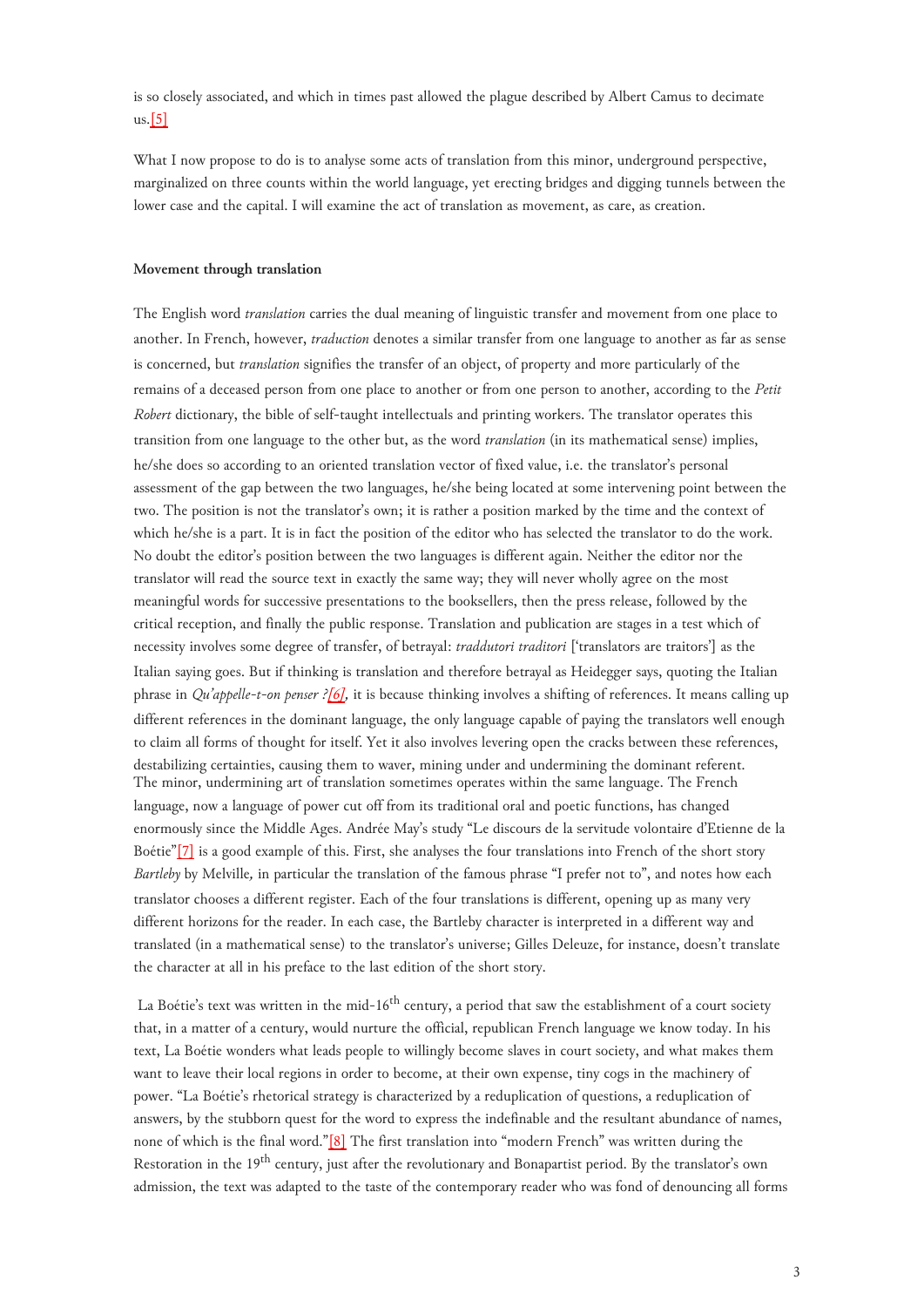is so closely associated, and which in times past allowed the plague described by Albert Camus to decimate  $us.[5]$  $us.[5]$ 

What I now propose to do is to analyse some acts of translation from this minor, underground perspective, marginalized on three counts within the world language, yet erecting bridges and digging tunnels between the lower case and the capital. I will examine the act of translation as movement, as care, as creation.

#### **Movement through translation**

<span id="page-2-0"></span>The English word *translation* carries the dual meaning of linguistic transfer and movement from one place to another. In French, however, *traduction* denotes a similar transfer from one language to another as far as sense is concerned, but *translation* signifies the transfer of an object, of property and more particularly of the remains of a deceased person from one place to another or from one person to another, according to the *Petit Robert* dictionary, the bible of self-taught intellectuals and printing workers. The translator operates this transition from one language to the other but, as the word *translation* (in its mathematical sense) implies, he/she does so according to an oriented translation vector of fixed value, i.e. the translator's personal assessment of the gap between the two languages, he/she being located at some intervening point between the two. The position is not the translator's own; it is rather a position marked by the time and the context of which he/she is a part. It is in fact the position of the editor who has selected the translator to do the work. No doubt the editor's position between the two languages is different again. Neither the editor nor the translator will read the source text in exactly the same way; they will never wholly agree on the most meaningful words for successive presentations to the booksellers, then the press release, followed by the critical reception, and finally the public response. Translation and publication are stages in a test which of necessity involves some degree of transfer, of betrayal: *traddutori traditori* ['translators are traitors'] as the Italian saying goes. But if thinking is translation and therefore betrayal as Heidegger says, quoting the Italian phrase in *Qu'appelle-t-on penser ?[\[6\]](#page-5-6),* it is because thinking involves a shifting of references. It means calling up different references in the dominant language, the only language capable of paying the translators well enough to claim all forms of thought for itself. Yet it also involves levering open the cracks between these references, destabilizing certainties, causing them to waver, mining under and undermining the dominant referent. The minor, undermining art of translation sometimes operates within the same language. The French language, now a language of power cut off from its traditional oral and poetic functions, has changed enormously since the Middle Ages. Andrée May's study "Le discours de la servitude volontaire d'Etienne de la Boétie"[\[7\]](#page-5-7) is a good example of this. First, she analyses the four translations into French of the short story *Bartleby* by Melville*,* in particular the translation of the famous phrase "I prefer not to", and notes how each translator chooses a different register. Each of the four translations is different, opening up as many very different horizons for the reader. In each case, the Bartleby character is interpreted in a different way and translated (in a mathematical sense) to the translator's universe; Gilles Deleuze, for instance, doesn't translate the character at all in his preface to the last edition of the short story.

<span id="page-2-2"></span><span id="page-2-1"></span>La Boétie's text was written in the mid-16<sup>th</sup> century, a period that saw the establishment of a court society that, in a matter of a century, would nurture the official, republican French language we know today. In his text, La Boétie wonders what leads people to willingly become slaves in court society, and what makes them want to leave their local regions in order to become, at their own expense, tiny cogs in the machinery of power. "La Boétie's rhetorical strategy is characterized by a reduplication of questions, a reduplication of answers, by the stubborn quest for the word to express the indefinable and the resultant abundance of names, none of which is the final word."[\[8\]](#page-5-8) The first translation into "modern French" was written during the Restoration in the 19<sup>th</sup> century, just after the revolutionary and Bonapartist period. By the translator's own admission, the text was adapted to the taste of the contemporary reader who was fond of denouncing all forms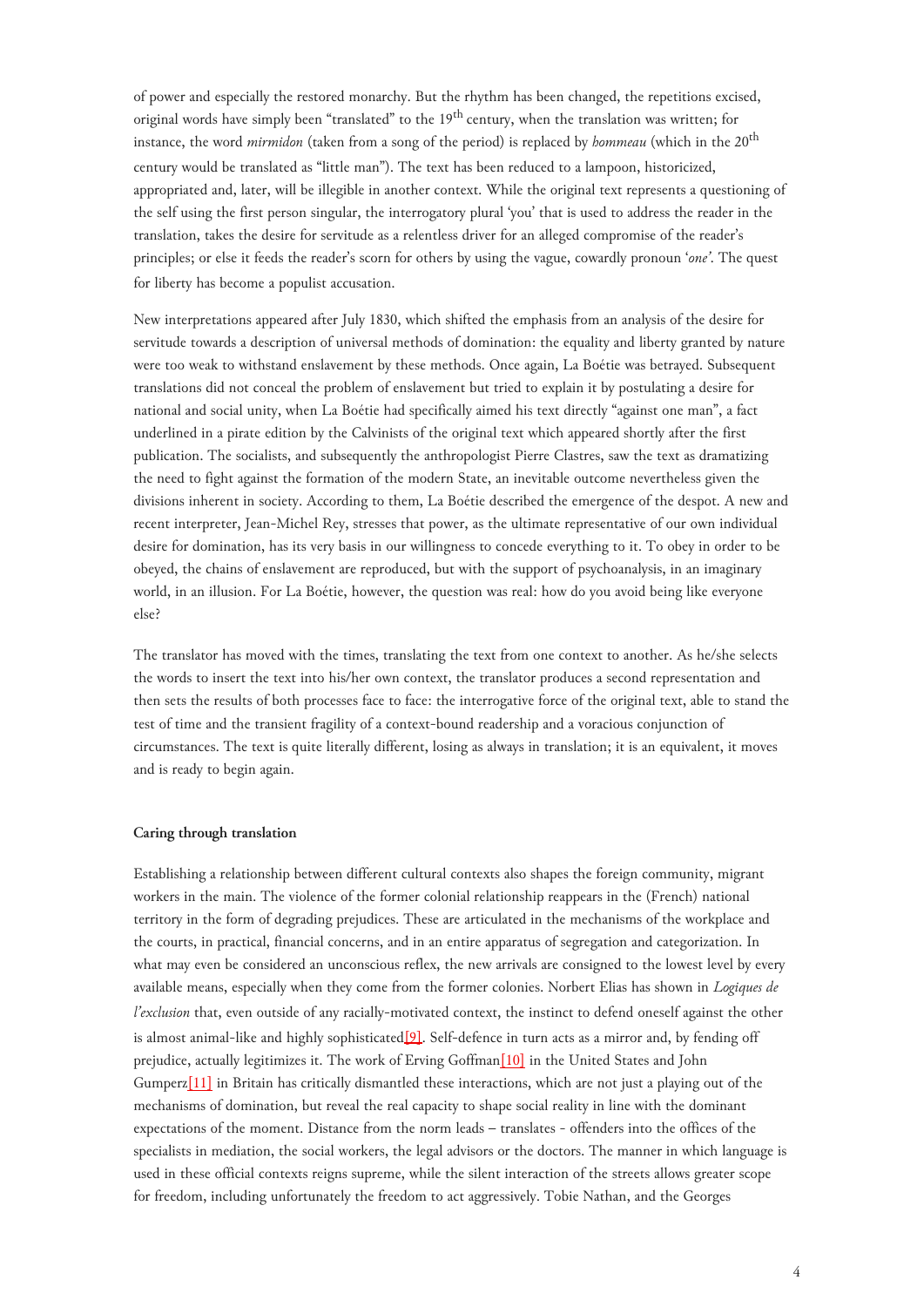of power and especially the restored monarchy. But the rhythm has been changed, the repetitions excised, original words have simply been "translated" to the 19<sup>th</sup> century, when the translation was written; for instance, the word *mirmidon* (taken from a song of the period) is replaced by *hommeau* (which in the 20<sup>th</sup> century would be translated as "little man"). The text has been reduced to a lampoon, historicized, appropriated and, later, will be illegible in another context. While the original text represents a questioning of the self using the first person singular, the interrogatory plural 'you' that is used to address the reader in the translation, takes the desire for servitude as a relentless driver for an alleged compromise of the reader's principles; or else it feeds the reader's scorn for others by using the vague, cowardly pronoun '*one'*. The quest for liberty has become a populist accusation.

New interpretations appeared after July 1830, which shifted the emphasis from an analysis of the desire for servitude towards a description of universal methods of domination: the equality and liberty granted by nature were too weak to withstand enslavement by these methods. Once again, La Boétie was betrayed. Subsequent translations did not conceal the problem of enslavement but tried to explain it by postulating a desire for national and social unity, when La Boétie had specifically aimed his text directly "against one man", a fact underlined in a pirate edition by the Calvinists of the original text which appeared shortly after the first publication. The socialists, and subsequently the anthropologist Pierre Clastres, saw the text as dramatizing the need to fight against the formation of the modern State, an inevitable outcome nevertheless given the divisions inherent in society. According to them, La Boétie described the emergence of the despot. A new and recent interpreter, Jean-Michel Rey, stresses that power, as the ultimate representative of our own individual desire for domination, has its very basis in our willingness to concede everything to it. To obey in order to be obeyed, the chains of enslavement are reproduced, but with the support of psychoanalysis, in an imaginary world, in an illusion. For La Boétie, however, the question was real: how do you avoid being like everyone else?

The translator has moved with the times, translating the text from one context to another. As he/she selects the words to insert the text into his/her own context, the translator produces a second representation and then sets the results of both processes face to face: the interrogative force of the original text, able to stand the test of time and the transient fragility of a context-bound readership and a voracious conjunction of circumstances. The text is quite literally different, losing as always in translation; it is an equivalent, it moves and is ready to begin again.

#### **Caring through translation**

<span id="page-3-0"></span>Establishing a relationship between different cultural contexts also shapes the foreign community, migrant workers in the main. The violence of the former colonial relationship reappears in the (French) national territory in the form of degrading prejudices. These are articulated in the mechanisms of the workplace and the courts, in practical, financial concerns, and in an entire apparatus of segregation and categorization. In what may even be considered an unconscious reflex, the new arrivals are consigned to the lowest level by every available means, especially when they come from the former colonies. Norbert Elias has shown in *Logiques de l'exclusion* that, even outside of any racially-motivated context, the instinct to defend oneself against the other is almost animal-like and highly sophisticated $[9]$ . Self-defence in turn acts as a mirror and, by fending off prejudice, actually legitimizes it. The work of Erving Goffman<sup>[10]</sup> in the United States and John Gumperz[\[11\]](#page-5-11) in Britain has critically dismantled these interactions, which are not just a playing out of the mechanisms of domination, but reveal the real capacity to shape social reality in line with the dominant expectations of the moment. Distance from the norm leads – translates - offenders into the offices of the specialists in mediation, the social workers, the legal advisors or the doctors. The manner in which language is used in these official contexts reigns supreme, while the silent interaction of the streets allows greater scope for freedom, including unfortunately the freedom to act aggressively. Tobie Nathan, and the Georges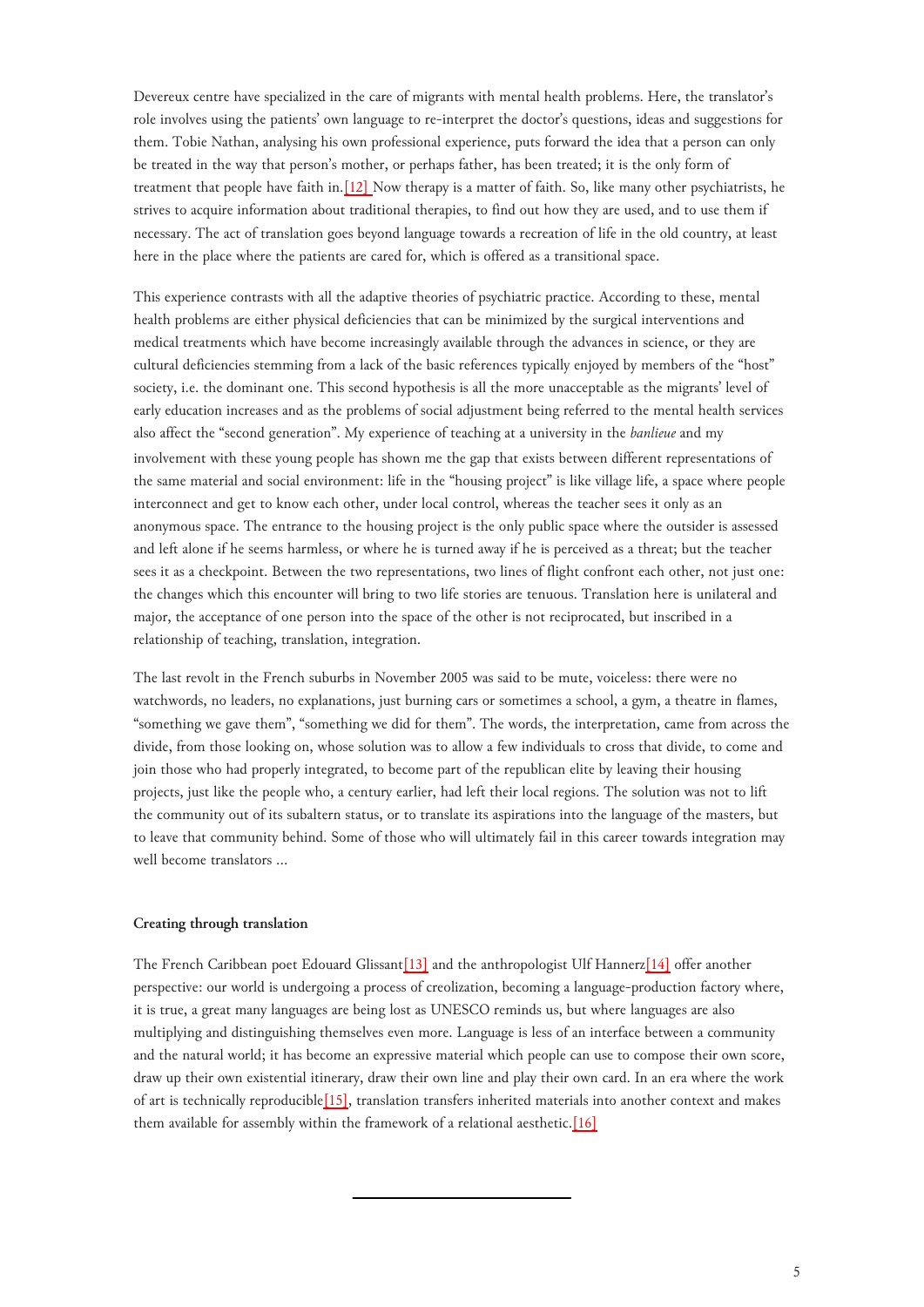Devereux centre have specialized in the care of migrants with mental health problems. Here, the translator's role involves using the patients' own language to re-interpret the doctor's questions, ideas and suggestions for them. Tobie Nathan, analysing his own professional experience, puts forward the idea that a person can only be treated in the way that person's mother, or perhaps father, has been treated; it is the only form of treatment that people have faith in[.\[12\]](#page-5-12) Now therapy is a matter of faith. So, like many other psychiatrists, he strives to acquire information about traditional therapies, to find out how they are used, and to use them if necessary. The act of translation goes beyond language towards a recreation of life in the old country, at least here in the place where the patients are cared for, which is offered as a transitional space.

This experience contrasts with all the adaptive theories of psychiatric practice. According to these, mental health problems are either physical deficiencies that can be minimized by the surgical interventions and medical treatments which have become increasingly available through the advances in science, or they are cultural deficiencies stemming from a lack of the basic references typically enjoyed by members of the "host" society, i.e. the dominant one. This second hypothesis is all the more unacceptable as the migrants' level of early education increases and as the problems of social adjustment being referred to the mental health services also affect the "second generation". My experience of teaching at a university in the *banlieue* and my involvement with these young people has shown me the gap that exists between different representations of the same material and social environment: life in the "housing project" is like village life, a space where people interconnect and get to know each other, under local control, whereas the teacher sees it only as an anonymous space. The entrance to the housing project is the only public space where the outsider is assessed and left alone if he seems harmless, or where he is turned away if he is perceived as a threat; but the teacher sees it as a checkpoint. Between the two representations, two lines of flight confront each other, not just one: the changes which this encounter will bring to two life stories are tenuous. Translation here is unilateral and major, the acceptance of one person into the space of the other is not reciprocated, but inscribed in a relationship of teaching, translation, integration.

The last revolt in the French suburbs in November 2005 was said to be mute, voiceless: there were no watchwords, no leaders, no explanations, just burning cars or sometimes a school, a gym, a theatre in flames, "something we gave them", "something we did for them". The words, the interpretation, came from across the divide, from those looking on, whose solution was to allow a few individuals to cross that divide, to come and join those who had properly integrated, to become part of the republican elite by leaving their housing projects, just like the people who, a century earlier, had left their local regions. The solution was not to lift the community out of its subaltern status, or to translate its aspirations into the language of the masters, but to leave that community behind. Some of those who will ultimately fail in this career towards integration may well become translators ...

#### **Creating through translation**

<span id="page-4-0"></span>The French Caribbean poet Edouard Glissant<sup>[13]</sup> and the anthropologist Ulf Hannerz<sup>[14]</sup> offer another perspective: our world is undergoing a process of creolization, becoming a language-production factory where, it is true, a great many languages are being lost as UNESCO reminds us, but where languages are also multiplying and distinguishing themselves even more. Language is less of an interface between a community and the natural world; it has become an expressive material which people can use to compose their own score, draw up their own existential itinerary, draw their own line and play their own card. In an era where the work of art is technically reproducibl[e\[15\]](#page-5-15), translation transfers inherited materials into another context and makes them available for assembly within the framework of a relational aesthetic.[\[16\]](#page-5-16)